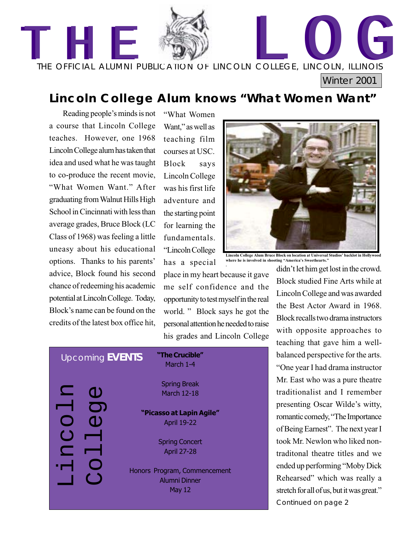

#### **Lincoln College Alum knows "What Women Want"**

Reading people's minds is not a course that Lincoln College teaches. However, one 1968 Lincoln College alum has taken that idea and used what he was taught to co-produce the recent movie, "What Women Want." After graduating from Walnut Hills High School in Cincinnati with less than average grades, Bruce Block (LC Class of 1968) was feeling a little uneasy about his educational options. Thanks to his parents' advice, Block found his second chance of redeeming his academic potential at Lincoln College. Today, Block's name can be found on the credits of the latest box office hit,

"What Women Want," as well as teaching film courses at USC. Block says Lincoln College was his first life adventure and the starting point for learning the fundamentals. "Lincoln College has a special

place in my heart because it gave me self confidence and the opportunity to test myself in the real world. " Block says he got the personal attention he needed to raise his grades and Lincoln College **.**

| <b>Upcoming EVENTS</b> | "The Crucible"<br>March 1-4  |
|------------------------|------------------------------|
|                        | <b>Spring Break</b>          |
| 口<br><b>O)</b>         | <b>March 12-18</b>           |
|                        | "Picasso at Lapin Agile"     |
|                        | <b>April 19-22</b>           |
| $\bigcup$              | <b>Spring Concert</b>        |
| $\bm{\Box}$            | <b>April 27-28</b>           |
|                        | Honors Program, Commencement |
|                        | Alumni Dinner                |
|                        | May 12                       |



Lincoln College Alum Bruce Block on location at Universal Studios' backlot in Holly **where he is involved in shooting "America's Sweethearts."**

didn't let him get lost in the crowd. Block studied Fine Arts while at Lincoln College and was awarded the Best Actor Award in 1968. Block recalls two drama instructors with opposite approaches to teaching that gave him a wellbalanced perspective for the arts. "One year I had drama instructor Mr. East who was a pure theatre traditionalist and I remember presenting Oscar Wilde's witty, romantic comedy, "The Importance of Being Earnest". The next year I took Mr. Newlon who liked nontraditonal theatre titles and we ended up performing "Moby Dick Rehearsed" which was really a stretch for all of us, but it was great." Continued on page 2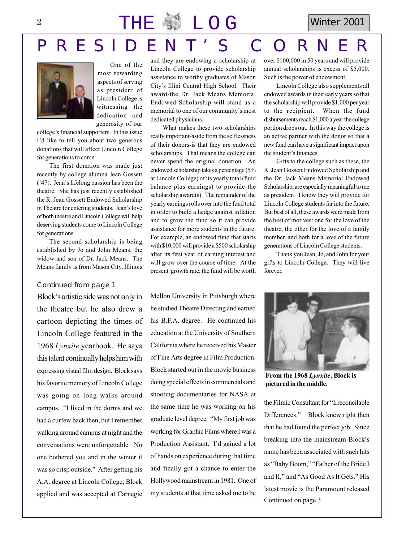

One of the most rewarding aspects of serving as president of Lincoln College is witnessing the dedication and generosity of our

college's financial supporters. In this issue I'd like to tell you about two generous donations that will affect Lincoln College for generations to come.

The first donation was made just recently by college alumna Jean Gossett ('47). Jean's lifelong passion has been the theatre. She has just recently established the R. Jean Gossett Endowed Scholarship in Theatre for entering students. Jean's love of both theatre and Lincoln College will help deserving students come to Lincoln College for generations.

The second scholarship is being established by Jo and John Means, the widow and son of Dr. Jack Means. The Means family is from Mason City, Illinois

#### Continued from page 1

Block's artistic side was not only in the theatre but he also drew a cartoon depicting the times of Lincoln College featured in the 1968 *Lynxite* yearbook. He says this talent continually helps him with expressing visual film design. Block says his favorite memory of Lincoln College was going on long walks around campus. "I lived in the dorms and we had a curfew back then, but I remember walking around campus at night and the conversations were unforgettable. No one bothered you and in the winter it was so crisp outside." After getting his A.A. degree at Lincoln College, Block applied and was accepted at Carnegie

and they are endowing a scholarship at Lincoln College to provide scholarship assistance to worthy graduates of Mason City's Illini Central High School. Their award-the Dr. Jack Means Memorial Endowed Scholarship-will stand as a memorial to one of our community's most dedicated physicians.

What makes these two scholarships really important-aside from the selflessness of their donors-is that they are endowed scholarships. That means the college can never spend the original donation. An endowed scholarship takes a percentage (5% at Lincoln College) of its yearly total (fund balance plus earnings) to provide the scholarship award(s). The remainder of the yearly earnings rolls over into the fund total in order to build a hedge against inflation and to grow the fund so it can provide assistance for more students in the future. For example, an endowed fund that starts with \$10,000 will provide a \$500 scholarship after its first year of earning interest and will grow over the course of time. At the present growth rate, the fund will be worth

Mellon University in Pittsburgh where he studied Theatre Directing and earned his B.F.A. degree. He continued his education at the University of Southern California where he received his Master of Fine Arts degree in Film Production. Block started out in the movie business doing special effects in commercials and shooting documentaries for NASA at the same time he was working on his graduate level degree. "My first job was working for Graphic Films where I was a Production Assistant. I'd gained a lot of hands on experience during that time and finally got a chance to enter the Hollywood mainstream in 1981. One of my students at that time asked me to be over \$100,000 in 50 years and will provide annual scholarships is excess of \$5,000. Such is the power of endowment.

Lincoln College also supplements all endowed awards in their early years so that the scholarship will provide \$1,000 per year to the recipient. When the fund disbursements reach \$1,000 a year the college portion drops out. In this way the college is an active partner with the donor so that a new fund can have a significant impact upon the student's finances.

Gifts to the college such as these, the R. Jean Gossett Endowed Scholarship and the Dr. Jack Means Memorial Endowed Scholarship, are especially meaningful to me as president. I know they will provide for Lincoln College students far into the future. But best of all, these awards were made from the best of motives: one for the love of the theatre, the other for the love of a family member..and both for a love of the future generations of Lincoln College students.

Thank you Jean, Jo, and John for your gifts to Lincoln College. They will live forever.



**From the 1968** *Lynxite***, Block is pictured in the middle.**

the Filmic Consultant for "Irreconcilable Differences." Block knew right then that he had found the perfect job. Since breaking into the mainstream Block's name has been associated with such hits as "Baby Boom," "Father of the Bride I and II," and "As Good As It Gets." His latest movie is the Paramount released Continued on page 3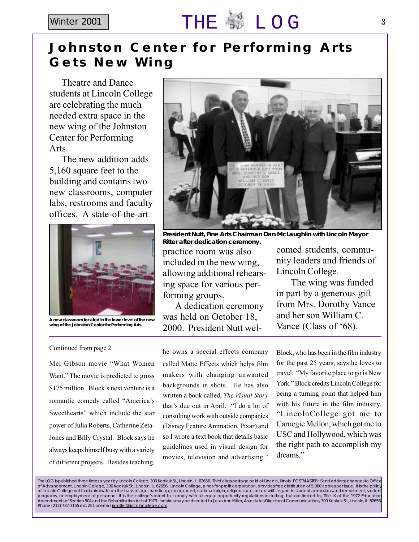Winter 2001  $\begin{array}{ccc} \text{Winter 2001} & \text{THE} & \text{Wint} & \text{L} & \text{O} & \text{G} \end{array}$ 

## **Johnston Center for Performing Arts Gets New Wing**

Theatre and Dance students at Lincoln College are celebrating the much needed extra space in the new wing of the Johnston Center for Performing Arts.

The new addition adds 5,160 square feet to the building and contains two new classrooms, computer labs, restrooms and faculty offices. A state-of-the-art



**A new classroom located in the lower level of the new wing of the Johnston Center for Performing Arts.**

#### Continued from page 2

Mel Gibson movie "What Women Want." The movie is predicted to gross \$175 million. Block's next venture is a romantic comedy called "America's Sweethearts" which include the star power of Julia Roberts, Catherine Zeta-Jones and Billy Crystal. Block says he always keeps himself busy with a variety of different projects. Besides teaching,



**President Nutt, Fine Arts Chairman Dan McLaughlin with Lincoln Mayor Ritter after dedication ceremony.**

practice room was also included in the new wing, allowing additional rehearsing space for various performing groups.

A dedication ceremony was held on October 18, 2000. President Nutt wel-

he owns a special effects company called Matte Effects which helps film makers with changing unwanted backgrounds in shots. He has also written a book called, *The Visual Story* that's due out in April. "I do a lot of consulting work with outside companies (Disney Feature Animation, Pixar) and so I wrote a text book that details basic guidelines used in visual design for movies, television and advertising."

comed students, community leaders and friends of Lincoln College.

The wing was funded in part by a generous gift from Mrs. Dorothy Vance and her son William C. Vance (Class of '68).

Block, who has been in the film industry for the past 25 years, says he loves to travel. "My favorite place to go is New York." Block credits Lincoln College for being a turning point that helped him with his future in the film industry. "LincolnCollege got me to Carnegie Mellon, which got me to USC and Hollywood, which was the right path to accomplish my dreams."

The LOG is published three times a year by Lincoln College, 300 Keokuk St., Lincoln, IL 62656. Third class postage paid at Lincoln, Illinois. POSTMASTER: Send address changes to Office of Advancement, Lincoln College, 300 Keokuk St., Lincoln, IL 62656. Lincoln College, a not-for-profit corporation, provides free distribution of 5,000 copies per issue. It is the policy of Lincoln College not to discriminate on the basis of age, handicap, color, creed, national origin, religion, race, or sex, with regard to student admissions and recruitment, student programs, or employment of personnel. It is the college's intent to comply with all equal opportunity regulations including, but not limited to, Title IX of the 1972 Education Amendments of Section 504 and the Rehabilitation Act of 1973. Inquires may be directed to Jean Ann Miller, Associates Director of Communications, 300 Keokuk St., Lincoln, IL 62656. Phone (217) 732-3155 ext. 251 or email jamiller@lincolncollege.com.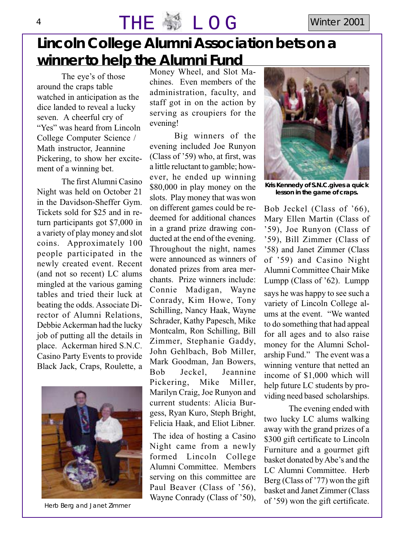## 4 THE D G Winter 2001

## **Lincoln College Alumni Association bets on a winner to help the Alumni Fund**

The eye's of those around the craps table watched in anticipation as the dice landed to reveal a lucky seven. A cheerful cry of "Yes" was heard from Lincoln College Computer Science / Math instructor, Jeannine Pickering, to show her excitement of a winning bet.

The first Alumni Casino Night was held on October 21 in the Davidson-Sheffer Gym. Tickets sold for \$25 and in return participants got \$7,000 in a variety of play money and slot coins. Approximately 100 people participated in the newly created event. Recent (and not so recent) LC alums mingled at the various gaming tables and tried their luck at beating the odds. Associate Director of Alumni Relations, Debbie Ackerman had the lucky job of putting all the details in place. Ackerman hired S.N.C. Casino Party Events to provide Black Jack, Craps, Roulette, a



Herb Berg and Janet Zimmer

Money Wheel, and Slot Machines. Even members of the administration, faculty, and staff got in on the action by serving as croupiers for the evening!

Big winners of the evening included Joe Runyon (Class of '59) who, at first, was a little reluctant to gamble; however, he ended up winning \$80,000 in play money on the slots. Play money that was won on different games could be redeemed for additional chances in a grand prize drawing conducted at the end of the evening. Throughout the night, names were announced as winners of donated prizes from area merchants. Prize winners include: Connie Madigan, Wayne Conrady, Kim Howe, Tony Schilling, Nancy Haak, Wayne Schrader, Kathy Papesch, Mike Montcalm, Ron Schilling, Bill Zimmer, Stephanie Gaddy, John Gehlbach, Bob Miller, Mark Goodman, Jan Bowers, Bob Jeckel, Jeannine Pickering, Mike Miller, Marilyn Craig, Joe Runyon and current students: Alicia Burgess, Ryan Kuro, Steph Bright, Felicia Haak, and Eliot Libner.

The idea of hosting a Casino Night came from a newly formed Lincoln College Alumni Committee. Members serving on this committee are Paul Beaver (Class of '56), Wayne Conrady (Class of '50),



**Kris Kennedy of S.N.C.gives a quick lesson in the game of craps.**

Bob Jeckel (Class of '66), Mary Ellen Martin (Class of '59), Joe Runyon (Class of '59), Bill Zimmer (Class of '58) and Janet Zimmer (Class of '59) and Casino Night Alumni Committee Chair Mike Lumpp (Class of '62). Lumpp says he was happy to see such a variety of Lincoln College alums at the event. "We wanted to do something that had appeal for all ages and to also raise money for the Alumni Scholarship Fund." The event was a winning venture that netted an income of \$1,000 which will help future LC students by providing need based scholarships.

The evening ended with two lucky LC alums walking away with the grand prizes of a \$300 gift certificate to Lincoln Furniture and a gourmet gift basket donated by Abe's and the LC Alumni Committee. Herb Berg (Class of '77) won the gift basket and Janet Zimmer (Class of '59) won the gift certificate.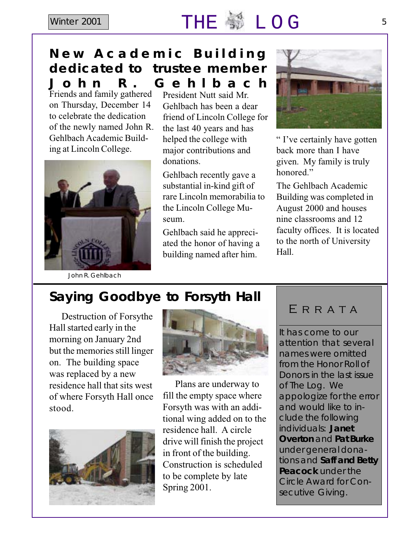# Winter 2001 **THE SILO G** 5

### **New Academic Building dedicated to trustee member John R. Gehlbach**

Friends and family gathered on Thursday, December 14 to celebrate the dedication of the newly named John R. Gehlbach Academic Building at Lincoln College.



President Nutt said Mr. Gehlbach has been a dear friend of Lincoln College for the last 40 years and has helped the college with major contributions and donations.

Gehlbach recently gave a substantial in-kind gift of rare Lincoln memorabilia to the Lincoln College Museum.

Gehlbach said he appreciated the honor of having a building named after him.



" I've certainly have gotten back more than I have given. My family is truly honored."

The Gehlbach Academic Building was completed in August 2000 and houses nine classrooms and 12 faculty offices. It is located to the north of University Hall.

John R. Gehlbach

## **Saying Goodbye to Forsyth Hall**

 Destruction of Forsythe Hall started early in the morning on January 2nd but the memories still linger on. The building space was replaced by a new residence hall that sits west of where Forsyth Hall once stood.





Plans are underway to fill the empty space where Forsyth was with an additional wing added on to the residence hall. A circle drive will finish the project in front of the building. Construction is scheduled to be complete by late Spring 2001.

## ERR

It has come to our attention that several names were omitted from the Honor Roll of Donors in the last issue of *The Log*. We appologize for the error and would like to include the following individuals: **Janet Overton** and **Pat Burke** under general donations and **Saff and Betty Peacock** under the Circle Award for Consecutive Giving.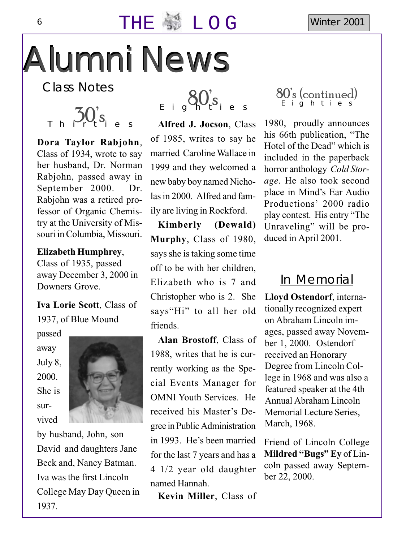# $6$  THE  $\mathbb{Z}$  L O G Winter 2001

# Alumni News

Class Notes



**Dora Taylor Rabjohn**, Class of 1934, wrote to say her husband, Dr. Norman Rabjohn, passed away in September 2000. Dr. Rabjohn was a retired professor of Organic Chemistry at the University of Missouri in Columbia, Missouri.

#### **Elizabeth Humphrey**,

Class of 1935, passed away December 3, 2000 in Downers Grove.

**Iva Lorie Scott**, Class of 1937, of Blue Mound

passed away July 8, 2000. She is survived



by husband, John, son David and daughters Jane Beck and, Nancy Batman. Iva was the first Lincoln College May Day Queen in 1937.

 $E_{\text{H}}$   $\frac{80}{5}$ s  $\frac{80}{10}$ s  $\frac{1}{2}$ 

**Alfred J. Jocson**, Class of 1985, writes to say he married Caroline Wallace in 1999 and they welcomed a new baby boy named Nicholas in 2000. Alfred and family are living in Rockford.

**Kimberly (Dewald) Murphy**, Class of 1980, says she is taking some time off to be with her children, Elizabeth who is 7 and Christopher who is 2. She says"Hi" to all her old friends.

**Alan Brostoff**, Class of 1988, writes that he is currently working as the Special Events Manager for OMNI Youth Services. He received his Master's Degree in Public Administration in 1993. He's been married for the last 7 years and has a 4 1/2 year old daughter named Hannah.

**Kevin Miller**, Class of

#### 80's (continued) Eighties

1980, proudly announces his 66th publication, "The Hotel of the Dead" which is included in the paperback horror anthology *Cold Storage*. He also took second place in Mind's Ear Audio Productions' 2000 radio play contest. His entry "The Unraveling" will be produced in April 2001.

#### In Memorial

**Lloyd Ostendorf**, internationally recognized expert on Abraham Lincoln images, passed away November 1, 2000. Ostendorf received an Honorary Degree from Lincoln College in 1968 and was also a featured speaker at the 4th Annual Abraham Lincoln Memorial Lecture Series, March, 1968.

Friend of Lincoln College **Mildred "Bugs" Ey** of Lincoln passed away September 22, 2000.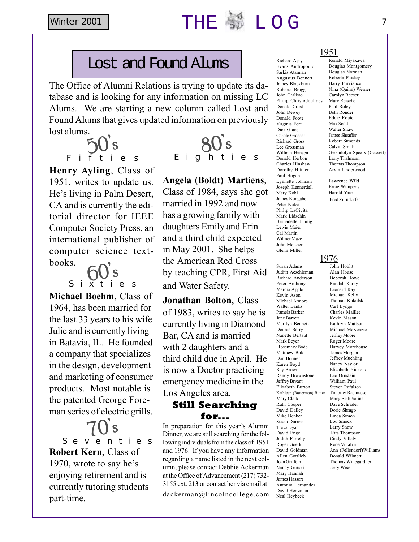# Winter 2001 **THE SILO G**  $\overline{7}$

### Lost and Found Alums

The Office of Alumni Relations is trying to update its database and is looking for any information on missing LC Alums. We are starting a new column called Lost and Found Alums that gives updated information on previously lost alums.

#### 50 ,<br>)<br>S Fifties

**Henry Ayling**, Class of 1951, writes to update us. He's living in Palm Desert, CA and is currently the editorial director for IEEE Computer Society Press, an international publisher of computer science textbooks.

,<br>)S Sixties

**Michael Boehm**, Class of 1964, has been married for the last 33 years to his wife Julie and is currently living in Batavia, IL. He founded a company that specializes in the design, development and marketing of consumer products. Most notable is the patented George Foreman series of electric grills.

70 ,<br>)S Seventies **Robert Kern**, Class of 1970, wrote to say he's enjoying retirement and is currently tutoring students part-time.



**Angela (Boldt) Martiens**, Class of 1984, says she got married in 1992 and now has a growing family with daughters Emily and Erin and a third child expected in May 2001. She helps the American Red Cross by teaching CPR, First Aid and Water Safety.

**Jonathan Bolton**, Class of 1983, writes to say he is currently living in Diamond Bar, CA and is married with 2 daughters and a third child due in April. He is now a Doctor practicing emergency medicine in the Los Angeles area.

#### $\bf{Still \ Searchina}$ for...

In preparation for this year's Alumni Dinner, we are still searching for the following individuals from the class of 1951 and 1976. If you have any information regarding a name listed in the next column, please contact Debbie Ackerman at the Office of Advancement (217) 732- 3155 ext. 213 or contact her via email at:

dackerman@lincolncollege.com

#### 1951

Evans Andropoulo Sarkis Atamian Augustus Bennett James Blackburn Roberta Bragg John Carlisto Philip Christodoulides Donald Crost John Dewey Donald Foote Virginia Fort Dick Grace Carole Graeser Richard Gross Lee Grossman William Hansen Donald Herbon Charles Hinshaw Dorothy Hittner Paul Hogan Lynnette Johnson Joseph Kennerdell Mary Kohl James Kongabel Peter Kutza Philip LaCivita Mark Lidschin Bernadette Linnig Lewis Maier Cal Martin Wilmer Maze John Meisner Glenn Miller

Richard Aery

Susan Adams Judith Aeschleman Richard Anderson Peter Anthony Marcia Apple Kevin Ason Michael Atmore Walter Banks Pamela Barker Jane Barrett Marilyn Bennett Donnie Berry Nanette Bertaut Mark Beyer Rosemary Bode Matthew Bold Dan Bonner Karen Boyd Ray Brown Randy Brownstone Jeffrey Bryant Elizabeth Burton Kathleen (Ratterman) Butler Mary Clark Ruth Cooper David Dailey Mike Denker Susan Durree Treva Dyar David Engel Judith Farrelly Roger Goerk David Goldman Allen Gottlieb Joan Griffeth Nancy Gurski Mary Hannah James Hassert Antonio Hernandez David Hertzman Neal Heybeck

Ronald Miyakawa Douglas Montgomery Douglas Norman Roberta Paisley Harry Purviance Nina (Quinn) Werner Carolyn Reeser Mary Reische Paul Roley Beth Ronder Eddie Route Max Scott Walter Shaw James Sheaffer Robert Simonds Calvin Smith Gwendolyn Spears (Gossett) Larry Thalmann Thomas Thompson Arvin Underwood

Lawrence Wild Ernie Wimperis Harold Yates Fred Zurndorfer

#### 1976 John Hoblit

Alan House Deborah Howe Randall Karey Leonard Kay Michael Kelly Thomas Kukulski Carl Lyngo Charles Maillet Kevin Mason Kathryn Mattson Michael McKenzie Jeffrey Moore Roger Moore Harvey Morehouse James Morgan Jeffrey Muehling Nancy Naylor Elizabeth Nickols Lee Ornstein William Paul Steven Rafalson Timothy Rasmussen Mary Beth Saline Dave Schrader Dorie Shrago Linda Simon Lou Smock Larry Snow Rita Thompson Cindy Villalva Rene Villalva Ann (Fellendorf)Williams Donald Wilmert Thomas Winegardner Jerry Wise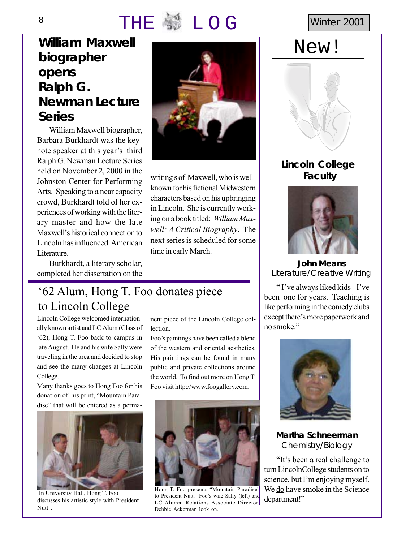# **8** THE **D** L O G Winter 2001

### **William Maxwell biographer opens Ralph G. Newman Lecture Series**

William Maxwell biographer, Barbara Burkhardt was the keynote speaker at this year's third Ralph G. Newman Lecture Series held on November 2, 2000 in the Johnston Center for Performing Arts. Speaking to a near capacity crowd, Burkhardt told of her experiences of working with the literary master and how the late Maxwell's historical connection to Lincoln has influenced American Literature.

Burkhardt, a literary scholar, completed her dissertation on the

#### '62 Alum, Hong T. Foo donates piece to Lincoln College

Lincoln College welcomed internationally known artist and LC Alum (Class of '62), Hong T. Foo back to campus in late August. He and his wife Sally were traveling in the area and decided to stop and see the many changes at Lincoln College.

Many thanks goes to Hong Foo for his donation of his print, "Mountain Paradise" that will be entered as a perma-



Nutt .

nent piece of the Lincoln College collection.

writing s of Maxwell, who is wellknown for his fictional Midwestern characters based on his upbringing in Lincoln. She is currently working on a book titled: *William Maxwell: A Critical Biography*. The next series is scheduled for some

time in early March.

Foo's paintings have been called a blend of the western and oriental aesthetics. His paintings can be found in many public and private collections around the world. To find out more on Hong T. Foo visit http://www.foogallery.com.



In University Hall, Hong T. Foo
discusses his artistic style with President
the U.C. Alumni Relations Associate Director
department!" Hong T. Foo presents "Mountain Paradise" to President Nutt. Foo's wife Sally (left) and LC Alumni Relations Associate Director, Debbie Ackerman look on.

# New!



**Faculty**



**John Means** Literature/Creative Writing

" I've always liked kids - I've been one for years. Teaching is like performing in the comedy clubs except there's more paperwork and no smoke."



**Martha Schneerman** Chemistry/Biology

"It's been a real challenge to turn LincolnCollege students on to science, but I'm enjoying myself. We do have smoke in the Science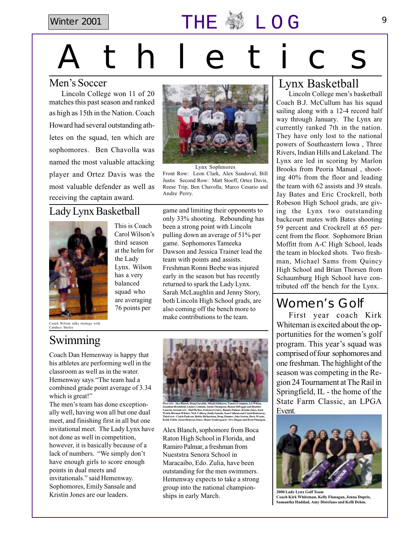# Winter 2001  $\vert$  THE  $\ddot{\ddot{\mathbb{S}}}$  L O G  $^9$

# Athletics

Lincoln College won 11 of 20 matches this past season and ranked as high as 15th in the Nation. Coach Howard had several outstanding athletes on the squad, ten which are sophomores. Ben Chavolla was named the most valuable attacking player and Ortez Davis was the most valuable defender as well as receiving the captain award.



Lynx Sophmores Front Row: Leon Clark, Alex Sandoval, Bill Justis Second Row: Matt Stoeff, Ortez Davis, Reese Trip, Ben Chavolla, Marco Cesario and Andre Perry.

#### Lady Lynx Basketball



This is Coach Carol Wilson's third season at the helm for the Lady Lynx. Wilson has a very balanced squad who are averaging 76 points per

game and limiting their opponents to only 33% shooting. Rebounding has been a strong point with Lincoln pulling down an average of 51% per game. Sophomores Tameeka Dawson and Jessica Trainer lead the team with points and assists. Freshman Ronni Beebe was injured early in the season but has recently returned to spark the Lady Lynx. Sarah McLaughlin and Jenny Story, both Lincoln High School grads, are also coming off the bench more to make contributions to the team.

Coach Wilson talks strategy with Candace Sheley

#### Swimming

Coach Dan Hemenway is happy that his athletes are performing well in the classroom as well as in the water. Hemenway says "The team had a combined grade point average of 3.34 which is great!"

The men's team has done exceptionally well, having won all but one dual meet, and finishing first in all but one invitational meet. The Lady Lynx have not done as well in competition, however, it is basically because of a lack of numbers. "We simply don't have enough girls to score enough points in dual meets and invitationals." said Hemenway. Sophomores, Emily Sansale and Kristin Jones are our leaders.



**First row: Alex Blanch, Doug Garafalo, Misaki Ishikawa, Tamara Campion, Liz Wilson, Jonathan Bromfield, Lindsey Luhtala, Justin Thompson, Bonnie DiFaggio and Heather Laurent. Second row: Matt Ryther, Federico Gentry, Ramiro Palmar, Kristin Jones, Zach** Welch, Herman Wilcher, Nick-Colberg, Emily Sansale, Sean Calhoun and Coach Hemenway.<br>Third row: Coach Paskvan, Bobby Richardson, Doug Zimmer, Jake Sexton, Deric Wynne,<br>Keith Tobin, Jason Demyen-Jones, Shane Syndergaard , S

Alex Blanch, sophomore from Boca Raton High School in Florida, and Ramiro Palmar, a freshman from Nueststra Senora School in Maracaibo, Edo. Zulia, have been outstanding for the men swimmers. Hemenway expects to take a strong group into the national championships in early March.

### Men's Soccer Lynx Basketball

Lincoln College men's basketball Coach B.J. McCullum has his squad sailing along with a 12-4 record half way through January. The Lynx are currently ranked 7th in the nation. They have only lost to the national powers of Southeastern Iowa , Three Rivers, Indian Hills and Lakeland. The Lynx are led in scoring by Marlon Brooks from Peoria Manual , shooting 40% from the floor and leading the team with 62 assists and 39 steals. Jay Bates and Eric Crockrell, both Robeson High School grads, are giving the Lynx two outstanding backcourt mates with Bates shooting 59 percent and Crockrell at 65 percent from the floor. Sophomore Brian Moffitt from A-C High School, leads the team in blocked shots. Two freshman, Michael Sams from Quincy High School and Brian Thorsen from Schaumburg High School have contributed off the bench for the Lynx.

### Women's Golf

First year coach Kirk Whiteman is excited about the opportunities for the women's golf program. This year's squad was comprised of four sophomores and one freshman. The highlight of the season was competing in the Region 24 Tournament at The Rail in Springfield, IL - the home of the State Farm Classic, an LPGA Event.



**2000 Lady Lynx Golf Team Coach Kirk Whiteman, Kelly Flanagan, Jenna Dupris, Samantha Haddad, Amy Distefano and Kelli Dehm.**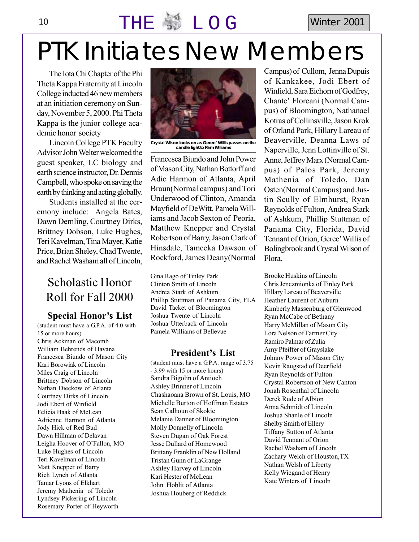10 THE  $\mathbb{P}$  L O G Winter 2001

# PTK Initiates New Members

The Iota Chi Chapter of the Phi Theta Kappa Fraternity at Lincoln College inducted 46 new members at an initiation ceremony on Sunday, November 5, 2000. Phi Theta Kappa is the junior college academic honor society

Lincoln College PTK Faculty Advisor John Welter welcomed the guest speaker, LC biology and earth science instructor, Dr. Dennis Campbell, who spoke on saving the earth by thinking and acting globally.

Students installed at the ceremony include: Angela Bates, Dawn Demling, Courtney Dirks, Brittney Dobson, Luke Hughes, Teri Kavelman, Tina Mayer, Katie Price, Brian Sheley, Chad Twente, and Rachel Washam all of Lincoln,

### Scholastic Honor Roll for Fall 2000

#### **Special Honor's List**

(student must have a G.P.A. of 4.0 with 15 or more hours) Chris Ackman of Macomb William Behrends of Havana Francesca Biundo of Mason City Kari Borowiak of Lincoln Miles Craig of Lincoln Brittney Dobson of Lincoln Nathan Dieckow of Atlanta Courtney Dirks of Lincoln Jodi Ebert of Winfield Felicia Haak of McLean Adrienne Harmon of Atlanta Jody Hick of Red Bud Dawn Hillman of Delavan Leigha Hoover of O'Fallon, MO Luke Hughes of Lincoln Teri Kavelman of Lincoln Matt Knepper of Barry Rich Lynch of Atlanta Tamar Lyons of Elkhart Jeremy Mathenia of Toledo Lyndsey Pickering of Lincoln Rosemary Porter of Heyworth



**Crystal Wilson looks on as Geree' Willis passes on the candle light to Pam Williams**

Francesca Biundo and John Power of Mason City, Nathan Bottorff and Adie Harmon of Atlanta, April Braun(Normal campus) and Tori Underwood of Clinton, Amanda Mayfield of DeWitt, Pamela Williams and Jacob Sexton of Peoria, Matthew Knepper and Crystal Robertson of Barry, Jason Clark of Hinsdale, Tameeka Dawson of Rockford, James Deany(Normal

Gina Rago of Tinley Park Clinton Smith of Lincoln Andrea Stark of Ashkum Phillip Stuttman of Panama City, FLA David Tacket of Bloomington Joshua Twente of Lincoln Joshua Utterback of Lincoln Pamela Williams of Bellevue

#### **President's List**

(student must have a G.P.A. range of 3.75 - 3.99 with 15 or more hours) Sandra Bigolin of Antioch Ashley Brinner of Lincoln Chashaoana Brown of St. Louis, MO Michelle Burton of Hoffman Estates Sean Calhoun of Skokie Melanie Danner of Bloomington Molly Donnelly of Lincoln Steven Dugan of Oak Forest Jesse Dullard of Homewood Brittany Franklin of New Holland Tristan Gunn of LaGrange Ashley Harvey of Lincoln Kari Hester of McLean John Hoblit of Atlanta Joshua Houberg of Reddick

Campus) of Cullom, Jenna Dupuis of Kankakee, Jodi Ebert of Winfield, Sara Eichorn of Godfrey, Chante' Floreani (Normal Campus) of Bloomington, Nathanael Kotras of Collinsville, Jason Krok of Orland Park, Hillary Lareau of Beaverville, Deanna Laws of Naperville, Jenn Lottinville of St. Anne, Jeffrey Marx (Normal Campus) of Palos Park, Jeremy Mathenia of Toledo, Dan Osten(Normal Campus) and Justin Scully of Elmhurst, Ryan Reynolds of Fulton, Andrea Stark of Ashkum, Phillip Stuttman of Panama City, Florida, David Tennant of Orion, Geree' Willis of Bolingbrook and Crystal Wilson of Flora.

Brooke Huskins of Lincoln Chris Jenczmionka of Tinley Park Hillary Lareau of Beaverville Heather Laurent of Auburn Kimberly Massenburg of Glenwood Ryan McCabe of Bethany Harry McMillan of Mason City Lora Nelson of Farmer City Ramiro Palmar of Zulia Amy Pfeiffer of Grayslake Johnny Power of Mason City Kevin Raugstad of Deerfield Ryan Reynolds of Fulton Crystal Robertson of New Canton Jonah Rosenthal of Lincoln Derek Rude of Albion Anna Schmidt of Lincoln Joshua Shanle of Lincoln Shelby Smith of Ellery Tiffany Sutton of Atlanta David Tennant of Orion Rachel Washam of Lincoln Zachary Welch of Houston,TX Nathan Welsh of Liberty Kelly Wiegand of Henry Kate Winters of Lincoln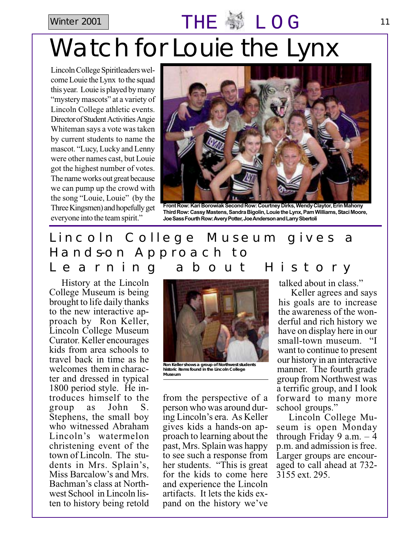## Winter 2001 **THE SILO G** 11

# Watch for Louie the Lynx

Lincoln College Spiritleaders welcome Louie the Lynx to the squad this year. Louie is played by many "mystery mascots" at a variety of Lincoln College athletic events. Director of Student Activities Angie Whiteman says a vote was taken by current students to name the mascot. "Lucy, Lucky and Lenny were other names cast, but Louie got the highest number of votes. The name works out great because we can pump up the crowd with the song "Louie, Louie" (by the Three Kingsmen) and hopefully get everyone into the team spirit."



**Front Row: Kari Borowiak Second Row: Courtney Dirks, Wendy Claytor, Erin Mahony Third Row: Cassy Mastens, Sandra Bigolin, Louie the Lynx, Pam Williams, Staci Moore, Joe Sass Fourth Row: Avery Potter, Joe Anderson and Larry Sbertoli**

#### Lincoln College Museum gives a Hands-on Approach to Learning about History

History at the Lincoln College Museum is being brought to life daily thanks to the new interactive approach by Ron Keller, Lincoln College Museum Curator. Keller encourages kids from area schools to travel back in time as he welcomes them in character and dressed in typical 1800 period style. He introduces himself to the group as John S. Stephens, the small boy who witnessed Abraham Lincoln's watermelon christening event of the town of Lincoln. The students in Mrs. Splain's, Miss Barcalow's and Mrs. Bachman's class at Northwest School in Lincoln listen to history being retold



**historic items found in the Lincoln College Museum**

from the perspective of a person who was around during Lincoln's era. As Keller gives kids a hands-on approach to learning about the past, Mrs. Splain was happy to see such a response from her students. "This is great for the kids to come here and experience the Lincoln artifacts. It lets the kids expand on the history we've

talked about in class."

Keller agrees and says his goals are to increase the awareness of the wonderful and rich history we have on display here in our small-town museum. "I want to continue to present our history in an interactive manner. The fourth grade group from Northwest was a terrific group, and I look forward to many more school groups."

Lincoln College Museum is open Monday through Friday 9 a.m.  $-4$ p.m. and admission is free. Larger groups are encouraged to call ahead at 732- 3155 ext. 295.